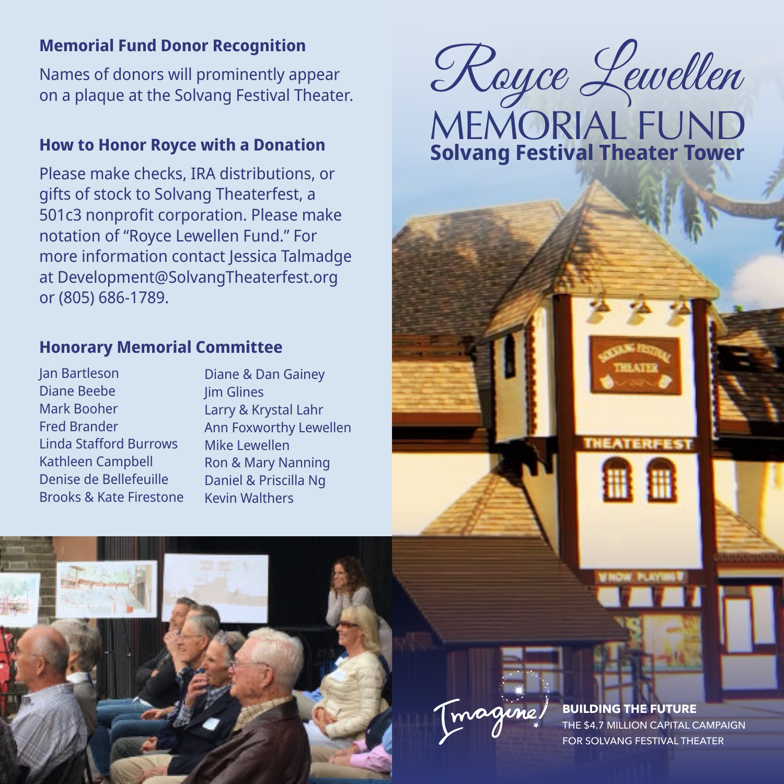Names of donors will prominently appear on a plaque at the Solvang Festival Theater.

## **How to Honor Royce with a Donation**

Please make checks, IRA distributions, or gifts of stock to Solvang Theaterfest, a 501c3 nonprofit corporation. Please make notation of "Royce Lewellen Fund." For more information contact Jessica Talmadge at Development@SolvangTheaterfest.org or (805) 686-1789.

## **Honorary Memorial Committee**

Jan Bartleson Diane Beebe Mark Booher Fred Brander Linda Stafford Burrows Kathleen Campbell Denise de Bellefeuille Brooks & Kate Firestone Diane & Dan Gainey Jim Glines Larry & Krystal Lahr Ann Foxworthy Lewellen Mike Lewellen Ron & Mary Nanning Daniel & Priscilla Ng Kevin Walthers

MEMORIAL FUND **Solvang Festival Theater Tower** Memorial Fund Donor Recognition<br>Names of donors will prominently appear<br>on a plaque at the Solvang Festival Theater.<br>All algo Call Company Call On a plaque at the Solvang Festival Theater.



**BUILDING THE FUTURE** THE \$4.7 MILLION CAPITAL CAMPAIGN FOR SOLVANG FESTIVAL THEATER

**THEATERFEST** 

⊞